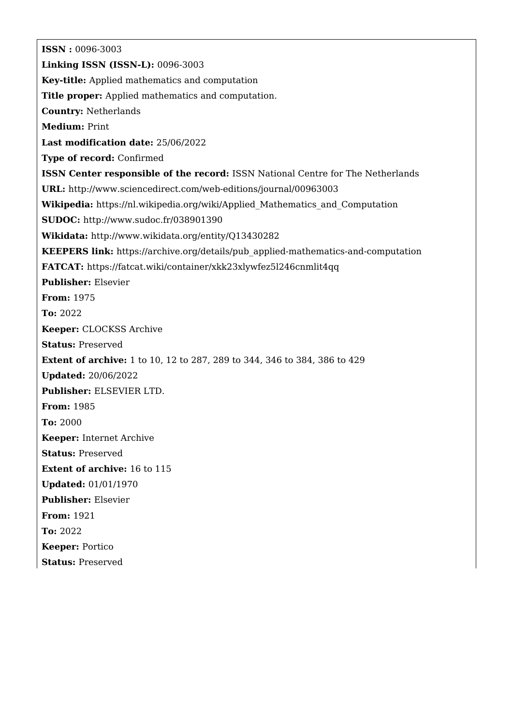**ISSN :** 0096-3003 **Linking ISSN (ISSN-L):** 0096-3003 **Key-title:** Applied mathematics and computation **Title proper:** Applied mathematics and computation. **Country:** Netherlands **Medium:** Print **Last modification date:** 25/06/2022 **Type of record:** Confirmed **ISSN Center responsible of the record:** ISSN National Centre for The Netherlands **URL:** <http://www.sciencedirect.com/web-editions/journal/00963003> **Wikipedia:** [https://nl.wikipedia.org/wiki/Applied\\_Mathematics\\_and\\_Computation](https://nl.wikipedia.org/wiki/Applied_Mathematics_and_Computation) **SUDOC:** <http://www.sudoc.fr/038901390> **Wikidata:** <http://www.wikidata.org/entity/Q13430282> **KEEPERS link:** [https://archive.org/details/pub\\_applied-mathematics-and-computation](https://archive.org/details/pub_applied-mathematics-and-computation) **FATCAT:** <https://fatcat.wiki/container/xkk23xlywfez5l246cnmlit4qq> **Publisher:** Elsevier **From:** 1975 **To:** 2022 **Keeper:** CLOCKSS Archive **Status:** Preserved **Extent of archive:** 1 to 10, 12 to 287, 289 to 344, 346 to 384, 386 to 429 **Updated:** 20/06/2022 **Publisher:** ELSEVIER LTD. **From:** 1985 **To:** 2000 **Keeper:** Internet Archive **Status:** Preserved **Extent of archive:** 16 to 115 **Updated:** 01/01/1970 **Publisher:** Elsevier **From:** 1921 **To:** 2022 **Keeper:** Portico **Status:** Preserved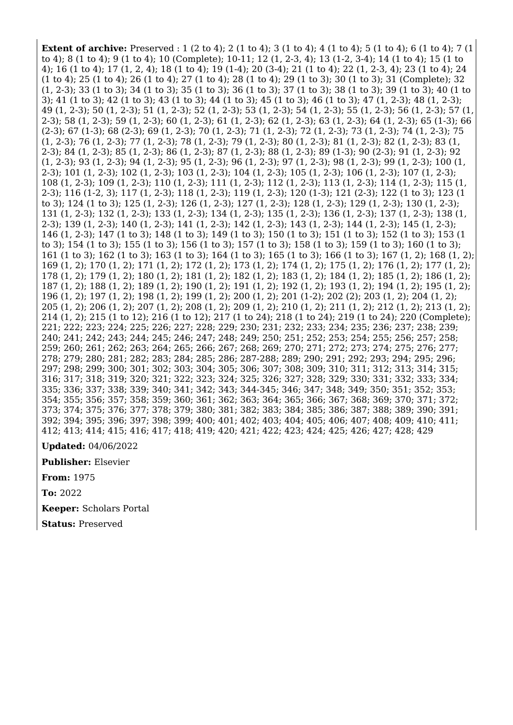**Extent of archive:** Preserved : 1 (2 to 4); 2 (1 to 4); 3 (1 to 4); 4 (1 to 4); 5 (1 to 4); 6 (1 to 4); 7 (1 to 4); 8 (1 to 4); 9 (1 to 4); 10 (Complete); 10-11; 12 (1, 2-3, 4); 13 (1-2, 3-4); 14 (1 to 4); 15 (1 to 4); 16 (1 to 4); 17 (1, 2, 4); 18 (1 to 4); 19 (1-4); 20 (3-4); 21 (1 to 4); 22 (1, 2-3, 4); 23 (1 to 4); 24 (1 to 4); 25 (1 to 4); 26 (1 to 4); 27 (1 to 4); 28 (1 to 4); 29 (1 to 3); 30 (1 to 3); 31 (Complete); 32 (1, 2-3); 33 (1 to 3); 34 (1 to 3); 35 (1 to 3); 36 (1 to 3); 37 (1 to 3); 38 (1 to 3); 39 (1 to 3); 40 (1 to 3); 41 (1 to 3); 42 (1 to 3); 43 (1 to 3); 44 (1 to 3); 45 (1 to 3); 46 (1 to 3); 47 (1, 2-3); 48 (1, 2-3); 49 (1, 2-3); 50 (1, 2-3); 51 (1, 2-3); 52 (1, 2-3); 53 (1, 2-3); 54 (1, 2-3); 55 (1, 2-3); 56 (1, 2-3); 57 (1, 2-3); 58 (1, 2-3); 59 (1, 2-3); 60 (1, 2-3); 61 (1, 2-3); 62 (1, 2-3); 63 (1, 2-3); 64 (1, 2-3); 65 (1-3); 66 (2-3); 67 (1-3); 68 (2-3); 69 (1, 2-3); 70 (1, 2-3); 71 (1, 2-3); 72 (1, 2-3); 73 (1, 2-3); 74 (1, 2-3); 75 (1, 2-3); 76 (1, 2-3); 77 (1, 2-3); 78 (1, 2-3); 79 (1, 2-3); 80 (1, 2-3); 81 (1, 2-3); 82 (1, 2-3); 83 (1, 2-3); 84 (1, 2-3); 85 (1, 2-3); 86 (1, 2-3); 87 (1, 2-3); 88 (1, 2-3); 89 (1-3); 90 (2-3); 91 (1, 2-3); 92 (1, 2-3); 93 (1, 2-3); 94 (1, 2-3); 95 (1, 2-3); 96 (1, 2-3); 97 (1, 2-3); 98 (1, 2-3); 99 (1, 2-3); 100 (1, 2-3); 101 (1, 2-3); 102 (1, 2-3); 103 (1, 2-3); 104 (1, 2-3); 105 (1, 2-3); 106 (1, 2-3); 107 (1, 2-3); 108 (1, 2-3); 109 (1, 2-3); 110 (1, 2-3); 111 (1, 2-3); 112 (1, 2-3); 113 (1, 2-3); 114 (1, 2-3); 115 (1, 2-3); 116 (1-2, 3); 117 (1, 2-3); 118 (1, 2-3); 119 (1, 2-3); 120 (1-3); 121 (2-3); 122 (1 to 3); 123 (1 to 3); 124 (1 to 3); 125 (1, 2-3); 126 (1, 2-3); 127 (1, 2-3); 128 (1, 2-3); 129 (1, 2-3); 130 (1, 2-3); 131 (1, 2-3); 132 (1, 2-3); 133 (1, 2-3); 134 (1, 2-3); 135 (1, 2-3); 136 (1, 2-3); 137 (1, 2-3); 138 (1, 2-3); 139 (1, 2-3); 140 (1, 2-3); 141 (1, 2-3); 142 (1, 2-3); 143 (1, 2-3); 144 (1, 2-3); 145 (1, 2-3); 146 (1, 2-3); 147 (1 to 3); 148 (1 to 3); 149 (1 to 3); 150 (1 to 3); 151 (1 to 3); 152 (1 to 3); 153 (1 to 3); 154 (1 to 3); 155 (1 to 3); 156 (1 to 3); 157 (1 to 3); 158 (1 to 3); 159 (1 to 3); 160 (1 to 3); 161 (1 to 3); 162 (1 to 3); 163 (1 to 3); 164 (1 to 3); 165 (1 to 3); 166 (1 to 3); 167 (1, 2); 168 (1, 2); 169 (1, 2); 170 (1, 2); 171 (1, 2); 172 (1, 2); 173 (1, 2); 174 (1, 2); 175 (1, 2); 176 (1, 2); 177 (1, 2); 178 (1, 2); 179 (1, 2); 180 (1, 2); 181 (1, 2); 182 (1, 2); 183 (1, 2); 184 (1, 2); 185 (1, 2); 186 (1, 2); 187 (1, 2); 188 (1, 2); 189 (1, 2); 190 (1, 2); 191 (1, 2); 192 (1, 2); 193 (1, 2); 194 (1, 2); 195 (1, 2); 196 (1, 2); 197 (1, 2); 198 (1, 2); 199 (1, 2); 200 (1, 2); 201 (1-2); 202 (2); 203 (1, 2); 204 (1, 2); 205 (1, 2); 206 (1, 2); 207 (1, 2); 208 (1, 2); 209 (1, 2); 210 (1, 2); 211 (1, 2); 212 (1, 2); 213 (1, 2); 214 (1, 2); 215 (1 to 12); 216 (1 to 12); 217 (1 to 24); 218 (1 to 24); 219 (1 to 24); 220 (Complete); 221; 222; 223; 224; 225; 226; 227; 228; 229; 230; 231; 232; 233; 234; 235; 236; 237; 238; 239; 240; 241; 242; 243; 244; 245; 246; 247; 248; 249; 250; 251; 252; 253; 254; 255; 256; 257; 258; 259; 260; 261; 262; 263; 264; 265; 266; 267; 268; 269; 270; 271; 272; 273; 274; 275; 276; 277; 278; 279; 280; 281; 282; 283; 284; 285; 286; 287-288; 289; 290; 291; 292; 293; 294; 295; 296; 297; 298; 299; 300; 301; 302; 303; 304; 305; 306; 307; 308; 309; 310; 311; 312; 313; 314; 315; 316; 317; 318; 319; 320; 321; 322; 323; 324; 325; 326; 327; 328; 329; 330; 331; 332; 333; 334; 335; 336; 337; 338; 339; 340; 341; 342; 343; 344-345; 346; 347; 348; 349; 350; 351; 352; 353; 354; 355; 356; 357; 358; 359; 360; 361; 362; 363; 364; 365; 366; 367; 368; 369; 370; 371; 372; 373; 374; 375; 376; 377; 378; 379; 380; 381; 382; 383; 384; 385; 386; 387; 388; 389; 390; 391; 392; 394; 395; 396; 397; 398; 399; 400; 401; 402; 403; 404; 405; 406; 407; 408; 409; 410; 411; 412; 413; 414; 415; 416; 417; 418; 419; 420; 421; 422; 423; 424; 425; 426; 427; 428; 429

**Updated:** 04/06/2022

**Publisher:** Elsevier

**From:** 1975

**To:** 2022

**Keeper:** Scholars Portal

**Status:** Preserved